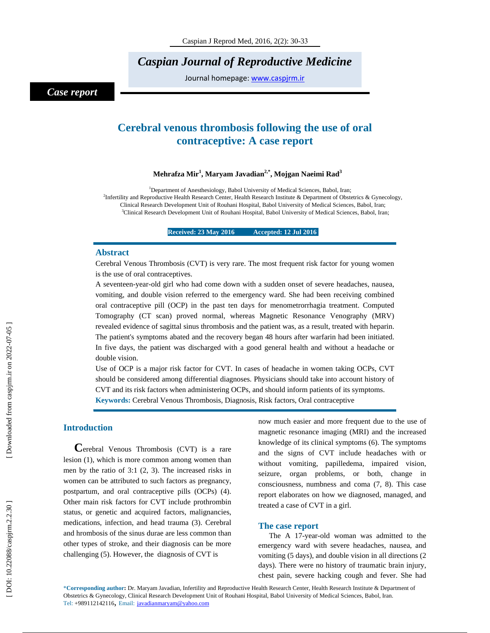*Caspian Journal of Reproductive Medicine* 

Journal homepage: www.caspjrm.ir

## *Case report*

# **Cerebral venous thrombosis following the use of oral contraceptive: A case report**

### **Mehrafza Mir 1 , Maryam Javadian2,\*, Mojgan Naeimi Rad 3**

<sup>1</sup>Department of Anesthesiology, Babol University of Medical Sciences, Babol, Iran; <sup>2</sup>Infertility and Reproductive Health Research Center, Health Research Institute & Department of Obstetrics & Gynecology, Clinical Research Development Unit of Rouhani Hospital, Babol University of Medical Sciences, Babol, Iran; 3 <sup>3</sup>Clinical Research Development Unit of Rouhani Hospital, Babol University of Medical Sciences, Babol, Iran;

**Received: 23 May 2016 Accepted: 12 Jul 2016** 

### **Abstract**

Cerebral Venous Thrombosis (CVT) is very rare. The most frequent risk factor for young women is the use of oral contraceptives.

A seventeen-year-old girl who had come down with a sudden onset of severe headaches, nausea, vomiting, and double vision referred to the emergency ward. She had been receiving combined oral contraceptive pill (OCP) in the past ten days for menometrorrhagia treatment. Computed Tomography (CT scan) proved normal, whereas Magnetic Resonance Venography (MRV) revealed evidence of sagittal sinus thrombosis and the patient was, as a result, treated with heparin. The patient's symptoms abated and the recovery began 48 hours after warfarin had been initiated. In five days, the patient was discharged with a good general health and without a headache or double vision.

Use of OCP is a major risk factor for CVT. In cases of headache in women taking OCPs, CVT should be considered among differential diagnoses. Physicians should take into account history of CVT and its risk factors when administering OCPs, and should inform patients of its symptoms. **Keywords:** Cerebral Venous Thrombosis, Diagnosis, Risk factors, Oral contraceptive

**Introduction C**erebral Venous Thrombosis (CVT) is a rare lesion (1), which is more common among women than men by the ratio of 3:1 (2, 3). The increased risks in women can be attributed to such factors as pregnancy, postpartum, and oral contraceptive pills (OCPs) (4). Other main risk factors for CVT include prothrombin status, or genetic and acquired factors, malignancies, medications, infection, and head trauma (3). Cerebral and hrombosis of the sinus durae are less common than other types of stroke, and their diagnosis can be more challenging (5). However, the diagnosis of CVT is

now much easier and more frequent due to the use of magnetic resonance imaging (MRI) and the increased knowledge of its clinical symptoms (6). The symptoms and the signs of CVT include headaches with or without vomiting, papilledema, impaired vision, seizure, organ problems, or both, change in consciousness, numbness and coma (7, 8). This case report elaborates on how we diagnosed, managed, and treated a case of CVT in a girl.

### **The case report**

The A 17-year-old woman was admitted to the emergency ward with severe headaches, nausea, and vomiting (5 days), and double vision in all directions (2 days). There were no history of traumatic brain injury, chest pain, severe hacking cough and fever. She had

\***Corresponding author :** Dr. Maryam Javadian , Infertility and Reproductive Health Research Center, Health Research Institute & Department of Obstetrics & Gynecology, Clinical Research Development Unit of Rouhani Hospital, Babol University of Medical Sciences, Babol, Iran. Tel: +989112142116, Email: javadianmaryam@yahoo.com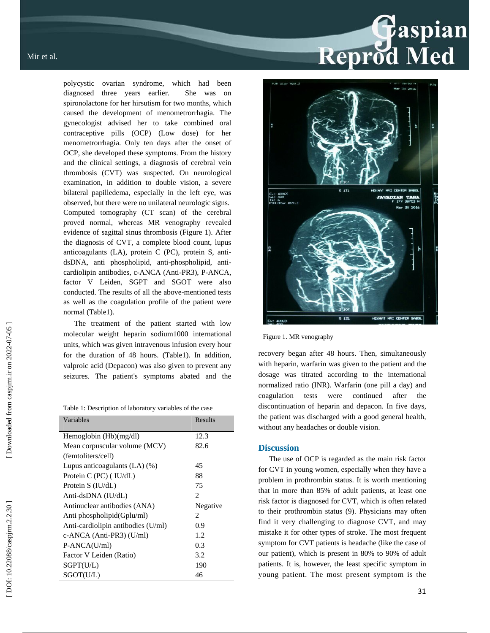polycystic ovarian syndrome, which had been diagnosed three years earlier. She was on spironolactone for her hirsutism for two months, which caused the development of menometrorrhagia. The gynecologist advised her to take combined oral contraceptive pills (OCP) (Low dose) for her menometrorrhagia. Only ten days after the onset of OCP, she developed these symptoms. From the history and the clinical settings, a diagnosis of cerebral vein thrombosis (CVT) was suspected. On neurological examination, in addition to double vision, a severe bilateral papilledema, especially in the left eye, was observed, but there were no unilateral neurologic signs. Computed tomography (CT scan) of the cerebral proved normal, whereas MR venography revealed evidence of sagittal sinus thrombosis (Figure 1). After the diagnosis of CVT, a complete blood count, lupus anticoagulants (LA), protein C (PC), protein S, antidsDNA, anti phospholipid, anti-phospholipid, anticardiolipin antibodies, c-ANCA (Anti-PR3), P-ANCA, factor V Leiden, SGPT and SGOT were also conducted. The results of all the above-mentioned tests as well as the coagulation profile of the patient were normal (Table1).

The treatment of the patient started with low molecular weight heparin sodium1000 international units, which was given intravenous infusion every hour for the duration of 48 hours. (Table1). In addition, valproic acid (Depacon) was also given to prevent any seizures. The patient's symptoms abated and the

Table 1: Description of laboratory variables of the case

| Variables                          | Results                       |
|------------------------------------|-------------------------------|
| Hemoglobin $(Hb)(mg/dl)$           | 12.3                          |
| Mean corpuscular volume (MCV)      | 82.6                          |
| (femtoliters/cell)                 |                               |
| Lupus anticoagulants $(LA)$ $(\%)$ | 45                            |
| Protein $C$ (PC) (IU/dL)           | 88                            |
| Protein S (IU/dL)                  | 75                            |
| Anti-dsDNA (IU/dL)                 | $\mathfrak{D}_{\mathfrak{p}}$ |
| Antinuclear antibodies (ANA)       | Negative                      |
| Anti phospholipid(Gplu/ml)         | $\mathcal{D}_{\mathcal{L}}$   |
| Anti-cardiolipin antibodies (U/ml) | 0.9                           |
| c-ANCA (Anti-PR3) (U/ml)           | 1.2                           |
| P-ANCA(U/ml)                       | 0.3                           |
| Factor V Leiden (Ratio)            | 3.2                           |
| SGPT(U/L)                          | 190                           |
| SGOT(U/L)                          | 46                            |

# Reprod Med



Figure 1. MR venography

recovery began after 48 hours. Then, simultaneously with heparin, warfarin was given to the patient and the dosage was titrated according to the international normalized ratio (INR). Warfarin (one pill a day) and coagulation tests were continued after the discontinuation of heparin and depacon. In five days, the patient was discharged with a good general health, without any headaches or double vision.

### **Discussion**

The use of OCP is regarded as the main risk factor for CVT in young women, especially when they have a problem in prothrombin status. It is worth mentioning that in more than 85% of adult patients, at least one risk factor is diagnosed for CVT, which is often related to their prothrombin status (9). Physicians may often find it very challenging to diagnose CVT, and may mistake it for other types of stroke. The most frequent symptom for CVT patients is headache (like the case of our patient), which is present in 80% to 90% of adult patients. It is, however, the least specific symptom in young patient. The most present symptom is the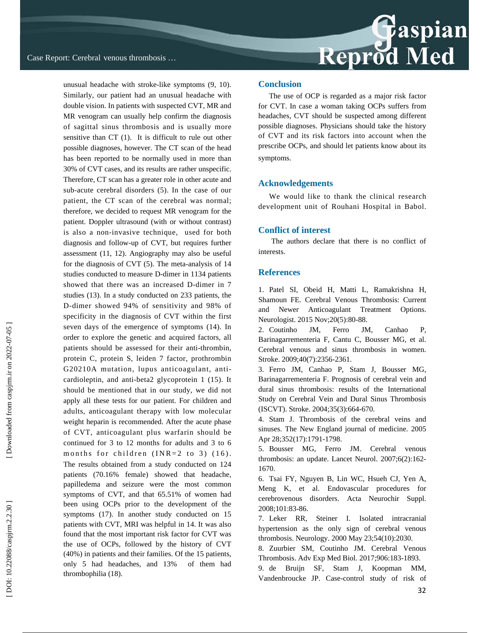unusual headache with stroke-like symptoms (9, 10). Similarly, our patient had an unusual headache with double vision. In patients with suspected CVT, MR and MR venogram can usually help confirm the diagnosis of sagittal sinus thrombosis and is usually more sensitive than CT (1). It is difficult to rule out other possible diagnoses, however. The CT scan of the head has been reported to be normally used in more than 30% of CVT cases, and its results are rather unspecific. Therefore, CT scan has a greater role in other acute and sub-acute cerebral disorders (5). In the case of our patient, the CT scan of the cerebral was normal; therefore, we decided to request MR venogram for the patient. Doppler ultrasound (with or without contrast) is also a non-invasive technique, used for both diagnosis and follow-up of CVT, but requires further assessment (11, 12). Angiography may also be useful for the diagnosis of CVT (5). The meta-analysis of 14 studies conducted to measure D-dimer in 1134 patients showed that there was an increased D-dimer in 7 studies (13). In a study conducted on 233 patients, the D-dimer showed 94% of sensitivity and 98% of specificity in the diagnosis of CVT within the first seven days of the emergence of symptoms (14). In order to explore the genetic and acquired factors, all patients should be assessed for their anti-thrombin, protein C, protein S, leiden 7 factor, prothrombin G20210A mutation, lupus anticoagulant, anticardioleptin, and anti-beta2 glycoprotein 1 (15). It should be mentioned that in our study, we did not apply all these tests for our patient. For children and adults, anticoagulant therapy with low molecular weight heparin is recommended. After the acute phase of CVT, anticoagulant plus warfarin should be continued for 3 to 12 months for adults and 3 to 6 months for children  $(NR=2 \text{ to } 3)$   $(16)$ . The results obtained from a study conducted on 124 patients (70.16% female) showed that headache, papilledema and seizure were the most common symptoms of CVT, and that 65.51% of women had been using OCPs prior to the development of the symptoms (17). In another study conducted on 15 patients with CVT, MRI was helpful in 14. It was also found that the most important risk factor for CVT was the use of OCPs, followed by the history of CVT (40%) in patients and their families. Of the 15 patients, only 5 had headaches, and 13% of them had thrombophilia (18).

### **Conclusion**

The use of OCP is regarded as a major risk factor for CVT. In case a woman taking OCPs suffers from headaches, CVT should be suspected among different possible diagnoses. Physicians should take the history of CVT and its risk factors into account when the prescribe OCPs, and should let patients know about its symptoms.

### **Acknowledgements**

We would like to thank the clinical research development unit of Rouhani Hospital in Babol.

### **Conflict of interest**

 The authors declare that there is no conflict of interests.

### **References**

1. Patel SI, Obeid H, Matti L, Ramakrishna H, Shamoun FE. Cerebral Venous Thrombosis: Current and Newer Anticoagulant Treatment Options. Neurologist. 2015 Nov;20(5):80-88.

2. Coutinho JM, Ferro JM, Canhao P, Barinagarrementeria F, Cantu C, Bousser MG, et al. Cerebral venous and sinus thrombosis in women. Stroke. 2009;40(7):2356-2361.

3. Ferro JM, Canhao P, Stam J, Bousser MG, Barinagarrementeria F. Prognosis of cerebral vein and dural sinus thrombosis: results of the International Study on Cerebral Vein and Dural Sinus Thrombosis (ISCVT). Stroke. 2004;35(3):664-670.

4. Stam J. Thrombosis of the cerebral veins and sinuses. The New England journal of medicine. 2005 Apr 28;352(17):1791-1798.

5. Bousser MG, Ferro JM. Cerebral venous thrombosis: an update. Lancet Neurol. 2007;6(2):162- 1670.

6. Tsai FY, Nguyen B, Lin WC, Hsueh CJ, Yen A, Meng K, et al. Endovascular procedures for cerebrovenous disorders. Acta Neurochir Suppl. 2008;101:83-86.

7. Leker RR, Steiner I. Isolated intracranial hypertension as the only sign of cerebral venous thrombosis. Neurology. 2000 May 23;54(10):2030.

8. Zuurbier SM, Coutinho JM. Cerebral Venous Thrombosis. Adv Exp Med Biol. 2017;906:183-1893.

9. de Bruijn SF, Stam J, Koopman MM, Vandenbroucke JP. Case-control study of risk of